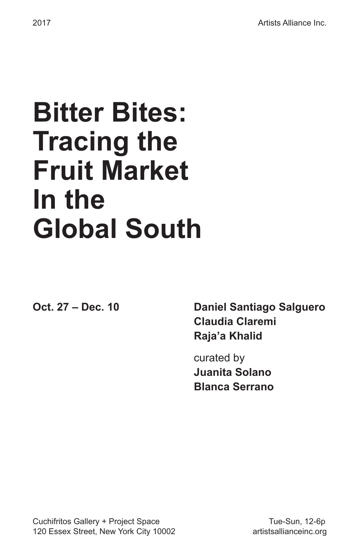#### **Bitter Bites: Tracing the Fruit Market In the Global South**

**Oct. 27 – Dec. 10 Daniel Santiago Salguero Claudia Claremi Raja'a Khalid**

> curated by  **Juanita Solano Blanca Serrano**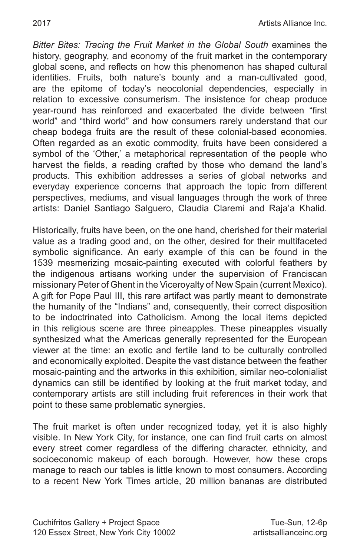**Bitter Bites: Tracing the Fruit Market in the Global South examines the** history, geography, and economy of the fruit market in the contemporary global scene, and reflects on how this phenomenon has shaped cultural identities. Fruits, both nature's bounty and a man-cultivated good, are the epitome of today's neocolonial dependencies, especially in relation to excessive consumerism. The insistence for cheap produce year-round has reinforced and exacerbated the divide between "first world" and "third world" and how consumers rarely understand that our cheap bodega fruits are the result of these colonial-based economies. Often regarded as an exotic commodity, fruits have been considered a symbol of the 'Other,' a metaphorical representation of the people who harvest the fields, a reading crafted by those who demand the land's products. This exhibition addresses a series of global networks and everyday experience concerns that approach the topic from different perspectives, mediums, and visual languages through the work of three artists: Daniel Santiago Salguero, Claudia Claremi and Raja'a Khalid.

Historically, fruits have been, on the one hand, cherished for their material value as a trading good and, on the other, desired for their multifaceted symbolic significance. An early example of this can be found in the 1539 mesmerizing mosaic-painting executed with colorful feathers by the indigenous artisans working under the supervision of Franciscan missionary Peter of Ghent in the Viceroyalty of New Spain (current Mexico). A gift for Pope Paul III, this rare artifact was partly meant to demonstrate the humanity of the "Indians" and, consequently, their correct disposition to be indoctrinated into Catholicism. Among the local items depicted in this religious scene are three pineapples. These pineapples visually synthesized what the Americas generally represented for the European viewer at the time: an exotic and fertile land to be culturally controlled and economically exploited. Despite the vast distance between the feather mosaic-painting and the artworks in this exhibition, similar neo-colonialist dynamics can still be identified by looking at the fruit market today, and contemporary artists are still including fruit references in their work that point to these same problematic synergies.

The fruit market is often under recognized today, yet it is also highly visible. In New York City, for instance, one can find fruit carts on almost every street corner regardless of the differing character, ethnicity, and socioeconomic makeup of each borough. However, how these crops manage to reach our tables is little known to most consumers. According to a recent New York Times article, 20 million bananas are distributed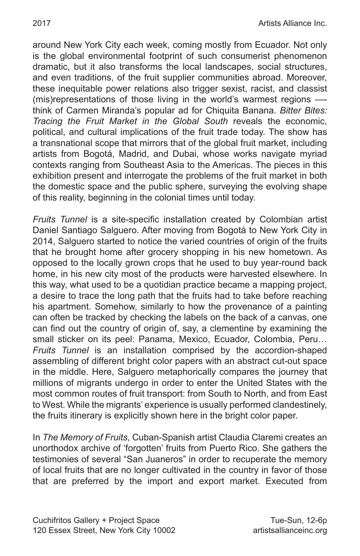around New York City each week, coming mostly from Ecuador. Not only is the global environmental footprint of such consumerist phenomenon dramatic, but it also transforms the local landscapes, social structures, and even traditions, of the fruit supplier communities abroad. Moreover, these inequitable power relations also trigger sexist, racist, and classist (mis)representations of those living in the world's warmest regions — think of Carmen Miranda's popular ad for Chiquita Banana. *Bitter Bites: Tracing the Fruit Market in the Global South* reveals the economic, political, and cultural implications of the fruit trade today. The show has a transnational scope that mirrors that of the global fruit market, including artists from Bogotá, Madrid, and Dubai, whose works navigate myriad contexts ranging from Southeast Asia to the Americas. The pieces in this exhibition present and interrogate the problems of the fruit market in both the domestic space and the public sphere, surveying the evolving shape of this reality, beginning in the colonial times until today.

*Fruits Tunnel* is a site-specific installation created by Colombian artist Daniel Santiago Salguero. After moving from Bogotá to New York City in 2014, Salguero started to notice the varied countries of origin of the fruits that he brought home after grocery shopping in his new hometown. As opposed to the locally grown crops that he used to buy year-round back home, in his new city most of the products were harvested elsewhere. In this way, what used to be a quotidian practice became a mapping project, a desire to trace the long path that the fruits had to take before reaching his apartment. Somehow, similarly to how the provenance of a painting can often be tracked by checking the labels on the back of a canvas, one can find out the country of origin of, say, a clementine by examining the small sticker on its peel: Panama, Mexico, Ecuador, Colombia, Peru… *Fruits Tunnel* is an installation comprised by the accordion-shaped assembling of different bright color papers with an abstract cut-out space in the middle. Here, Salguero metaphorically compares the journey that millions of migrants undergo in order to enter the United States with the most common routes of fruit transport: from South to North, and from East to West. While the migrants' experience is usually performed clandestinely, the fruits itinerary is explicitly shown here in the bright color paper.

In *The Memory of Fruits*, Cuban-Spanish artist Claudia Claremi creates an unorthodox archive of 'forgotten' fruits from Puerto Rico. She gathers the testimonies of several "San Juaneros" in order to recuperate the memory of local fruits that are no longer cultivated in the country in favor of those that are preferred by the import and export market. Executed from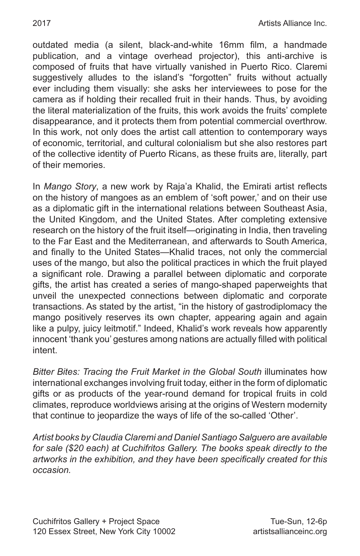outdated media (a silent, black-and-white 16mm film, a handmade publication, and a vintage overhead projector), this anti-archive is composed of fruits that have virtually vanished in Puerto Rico. Claremi suggestively alludes to the island's "forgotten" fruits without actually ever including them visually: she asks her interviewees to pose for the camera as if holding their recalled fruit in their hands. Thus, by avoiding the literal materialization of the fruits, this work avoids the fruits' complete disappearance, and it protects them from potential commercial overthrow. In this work, not only does the artist call attention to contemporary ways of economic, territorial, and cultural colonialism but she also restores part of the collective identity of Puerto Ricans, as these fruits are, literally, part of their memories.

In *Mango Story*, a new work by Raja'a Khalid, the Emirati artist reflects on the history of mangoes as an emblem of 'soft power,' and on their use as a diplomatic gift in the international relations between Southeast Asia, the United Kingdom, and the United States. After completing extensive research on the history of the fruit itself—originating in India, then traveling to the Far East and the Mediterranean, and afterwards to South America, and finally to the United States—Khalid traces, not only the commercial uses of the mango, but also the political practices in which the fruit played a significant role. Drawing a parallel between diplomatic and corporate gifts, the artist has created a series of mango-shaped paperweights that unveil the unexpected connections between diplomatic and corporate transactions. As stated by the artist, "in the history of gastrodiplomacy the mango positively reserves its own chapter, appearing again and again like a pulpy, juicy leitmotif." Indeed, Khalid's work reveals how apparently innocent 'thank you' gestures among nations are actually filled with political intent.

*Bitter Bites: Tracing the Fruit Market in the Global South* illuminates how international exchanges involving fruit today, either in the form of diplomatic gifts or as products of the year-round demand for tropical fruits in cold climates, reproduce worldviews arising at the origins of Western modernity that continue to jeopardize the ways of life of the so-called 'Other'.

*Artist books by Claudia Claremi and Daniel Santiago Salguero are available for sale (\$20 each) at Cuchifritos Gallery. The books speak directly to the artworks in the exhibition, and they have been specifically created for this occasion.*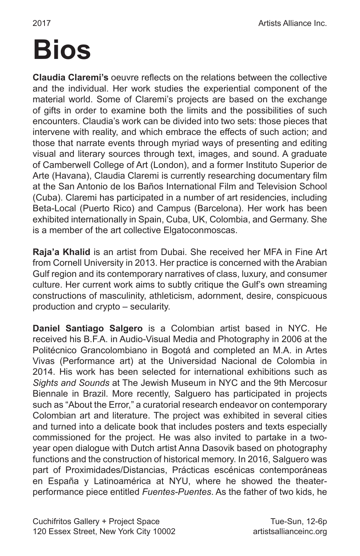#### **Bios**

**Claudia Claremi's** oeuvre reflects on the relations between the collective and the individual. Her work studies the experiential component of the material world. Some of Claremi's projects are based on the exchange of gifts in order to examine both the limits and the possibilities of such encounters. Claudia's work can be divided into two sets: those pieces that intervene with reality, and which embrace the effects of such action; and those that narrate events through myriad ways of presenting and editing visual and literary sources through text, images, and sound. A graduate of Camberwell College of Art (London), and a former Instituto Superior de Arte (Havana), Claudia Claremi is currently researching documentary film at the San Antonio de los Baños International Film and Television School (Cuba). Claremi has participated in a number of art residencies, including Beta-Local (Puerto Rico) and Campus (Barcelona). Her work has been exhibited internationally in Spain, Cuba, UK, Colombia, and Germany. She is a member of the art collective Elgatoconmoscas.

**Raja'a Khalid** is an artist from Dubai. She received her MFA in Fine Art from Cornell University in 2013. Her practice is concerned with the Arabian Gulf region and its contemporary narratives of class, luxury, and consumer culture. Her current work aims to subtly critique the Gulf's own streaming constructions of masculinity, athleticism, adornment, desire, conspicuous production and crypto – secularity.

**Daniel Santiago Salgero** is a Colombian artist based in NYC. He received his B.F.A. in Audio-Visual Media and Photography in 2006 at the Politécnico Grancolombiano in Bogotá and completed an M.A. in Artes Vivas (Performance art) at the Universidad Nacional de Colombia in 2014. His work has been selected for international exhibitions such as *Sights and Sounds* at The Jewish Museum in NYC and the 9th Mercosur Biennale in Brazil. More recently, Salguero has participated in projects such as "About the Error," a curatorial research endeavor on contemporary Colombian art and literature. The project was exhibited in several cities and turned into a delicate book that includes posters and texts especially commissioned for the project. He was also invited to partake in a twoyear open dialogue with Dutch artist Anna Dasovik based on photography functions and the construction of historical memory. In 2016, Salguero was part of Proximidades/Distancias, Prácticas escénicas contemporáneas en España y Latinoamérica at NYU, where he showed the theaterperformance piece entitled *Fuentes-Puentes*. As the father of two kids, he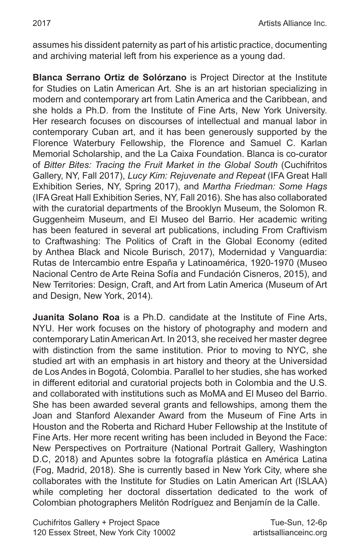assumes his dissident paternity as part of his artistic practice, documenting and archiving material left from his experience as a young dad.

**Blanca Serrano Ortiz de Solórzano** is Project Director at the Institute for Studies on Latin American Art. She is an art historian specializing in modern and contemporary art from Latin America and the Caribbean, and she holds a Ph.D. from the Institute of Fine Arts, New York University. Her research focuses on discourses of intellectual and manual labor in contemporary Cuban art, and it has been generously supported by the Florence Waterbury Fellowship, the Florence and Samuel C. Karlan Memorial Scholarship, and the La Caixa Foundation. Blanca is co-curator of *Bitter Bites: Tracing the Fruit Market in the Global South* (Cuchifritos Gallery, NY, Fall 2017), *Lucy Kim: Rejuvenate and Repeat* (IFA Great Hall Exhibition Series, NY, Spring 2017), and *Martha Friedman: Some Hags* (IFA Great Hall Exhibition Series, NY, Fall 2016). She has also collaborated with the curatorial departments of the Brooklyn Museum, the Solomon R. Guggenheim Museum, and El Museo del Barrio. Her academic writing has been featured in several art publications, including From Craftivism to Craftwashing: The Politics of Craft in the Global Economy (edited by Anthea Black and Nicole Burisch, 2017), Modernidad y Vanguardia: Rutas de Intercambio entre España y Latinoamérica, 1920-1970 (Museo Nacional Centro de Arte Reina Sofía and Fundación Cisneros, 2015), and New Territories: Design, Craft, and Art from Latin America (Museum of Art and Design, New York, 2014).

**Juanita Solano Roa** is a Ph.D. candidate at the Institute of Fine Arts, NYU. Her work focuses on the history of photography and modern and contemporary Latin American Art. In 2013, she received her master degree with distinction from the same institution. Prior to moving to NYC, she studied art with an emphasis in art history and theory at the Universidad de Los Andes in Bogotá, Colombia. Parallel to her studies, she has worked in different editorial and curatorial projects both in Colombia and the U.S. and collaborated with institutions such as MoMA and El Museo del Barrio. She has been awarded several grants and fellowships, among them the Joan and Stanford Alexander Award from the Museum of Fine Arts in Houston and the Roberta and Richard Huber Fellowship at the Institute of Fine Arts. Her more recent writing has been included in Beyond the Face: New Perspectives on Portraiture (National Portrait Gallery, Washington D.C, 2018) and Apuntes sobre la fotografía plástica en América Latina (Fog, Madrid, 2018). She is currently based in New York City, where she collaborates with the Institute for Studies on Latin American Art (ISLAA) while completing her doctoral dissertation dedicated to the work of Colombian photographers Melitón Rodríguez and Benjamín de la Calle.

Cuchifritos Gallery + Project Space Tue-Sun, 12-6p 120 Essex Street, New York City 10002 **artistsallianceinc.org**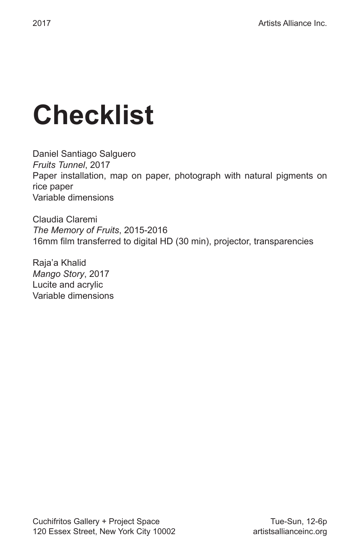### **Checklist**

Daniel Santiago Salguero *Fruits Tunnel*, 2017 Paper installation, map on paper, photograph with natural pigments on rice paper Variable dimensions

Claudia Claremi *The Memory of Fruits*, 2015-2016 16mm film transferred to digital HD (30 min), projector, transparencies

Raja'a Khalid *Mango Story*, 2017 Lucite and acrylic Variable dimensions